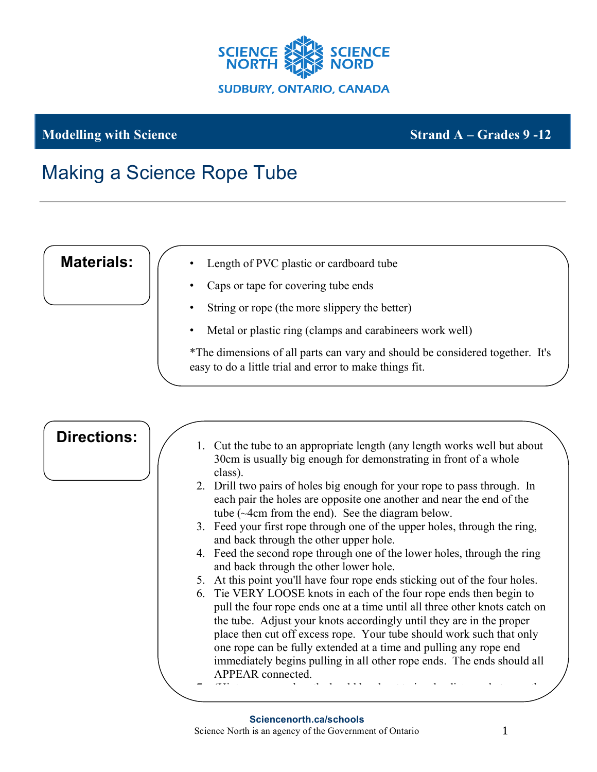

## **Modelling with Science Strand A – Grades 9 -12**

## Making a Science Rope Tube

**Materials:**

- Length of PVC plastic or cardboard tube
- Caps or tape for covering tube ends
- String or rope (the more slippery the better)
- Metal or plastic ring (clamps and carabineers work well)

\*The dimensions of all parts can vary and should be considered together. It's easy to do a little trial and error to make things fit.

| <b>Directions:</b> |    | 1. Cut the tube to an appropriate length (any length works well but about<br>30cm is usually big enough for demonstrating in front of a whole                                                                                                                                                                                                                          |
|--------------------|----|------------------------------------------------------------------------------------------------------------------------------------------------------------------------------------------------------------------------------------------------------------------------------------------------------------------------------------------------------------------------|
|                    |    | class).                                                                                                                                                                                                                                                                                                                                                                |
|                    |    | 2. Drill two pairs of holes big enough for your rope to pass through. In<br>each pair the holes are opposite one another and near the end of the<br>tube (~4cm from the end). See the diagram below.                                                                                                                                                                   |
|                    |    | 3. Feed your first rope through one of the upper holes, through the ring,<br>and back through the other upper hole.                                                                                                                                                                                                                                                    |
|                    |    | 4. Feed the second rope through one of the lower holes, through the ring<br>and back through the other lower hole.                                                                                                                                                                                                                                                     |
|                    | 5. | At this point you'll have four rope ends sticking out of the four holes.                                                                                                                                                                                                                                                                                               |
|                    |    | 6. Tie VERY LOOSE knots in each of the four rope ends then begin to<br>pull the four rope ends one at a time until all three other knots catch on<br>the tube. Adjust your knots accordingly until they are in the proper<br>place then cut off excess rope. Your tube should work such that only<br>one rope can be fully extended at a time and pulling any rope end |
|                    |    | immediately begins pulling in all other rope ends. The ends should all<br><b>APPEAR</b> connected.                                                                                                                                                                                                                                                                     |